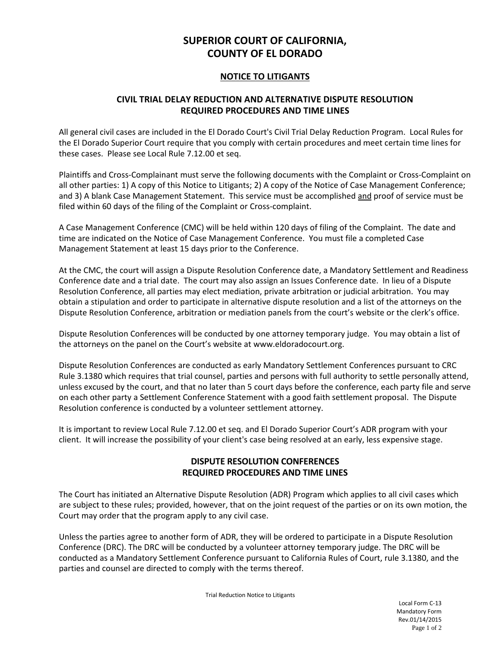# **SUPERIOR COURT OF CALIFORNIA, COUNTY OF EL DORADO**

#### **NOTICE TO LITIGANTS**

## **CIVIL TRIAL DELAY REDUCTION AND ALTERNATIVE DISPUTE RESOLUTION REQUIRED PROCEDURES AND TIME LINES**

All general civil cases are included in the El Dorado Court's Civil Trial Delay Reduction Program. Local Rules for the El Dorado Superior Court require that you comply with certain procedures and meet certain time lines for these cases. Please see Local Rule 7.12.00 et seq.

Plaintiffs and Cross-Complainant must serve the following documents with the Complaint or Cross-Complaint on all other parties: 1) A copy of this Notice to Litigants; 2) A copy of the Notice of Case Management Conference; and 3) A blank Case Management Statement. This service must be accomplished and proof of service must be filed within 60 days of the filing of the Complaint or Cross-complaint.

A Case Management Conference (CMC) will be held within 120 days of filing of the Complaint. The date and time are indicated on the Notice of Case Management Conference. You must file a completed Case Management Statement at least 15 days prior to the Conference.

At the CMC, the court will assign a Dispute Resolution Conference date, a Mandatory Settlement and Readiness Conference date and a trial date. The court may also assign an Issues Conference date. In lieu of a Dispute Resolution Conference, all parties may elect mediation, private arbitration or judicial arbitration. You may obtain a stipulation and order to participate in alternative dispute resolution and a list of the attorneys on the Dispute Resolution Conference, arbitration or mediation panels from the court's website or the clerk's office.

Dispute Resolution Conferences will be conducted by one attorney temporary judge. You may obtain a list of the attorneys on the panel on the Court's website at www.eldoradocourt.org.

Dispute Resolution Conferences are conducted as early Mandatory Settlement Conferences pursuant to CRC Rule 3.1380 which requires that trial counsel, parties and persons with full authority to settle personally attend, unless excused by the court, and that no later than 5 court days before the conference, each party file and serve on each other party a Settlement Conference Statement with a good faith settlement proposal. The Dispute Resolution conference is conducted by a volunteer settlement attorney.

It is important to review Local Rule 7.12.00 et seq. and El Dorado Superior Court's ADR program with your client. It will increase the possibility of your client's case being resolved at an early, less expensive stage.

## **DISPUTE RESOLUTION CONFERENCES REQUIRED PROCEDURES AND TIME LINES**

The Court has initiated an Alternative Dispute Resolution (ADR) Program which applies to all civil cases which are subject to these rules; provided, however, that on the joint request of the parties or on its own motion, the Court may order that the program apply to any civil case.

Unless the parties agree to another form of ADR, they will be ordered to participate in a Dispute Resolution Conference (DRC). The DRC will be conducted by a volunteer attorney temporary judge. The DRC will be conducted as a Mandatory Settlement Conference pursuant to California Rules of Court, rule 3.1380, and the parties and counsel are directed to comply with the terms thereof.

Trial Reduction Notice to Litigants

Local Form C-13 Mandatory Form Rev.01/14/2015 Page 1 of 2